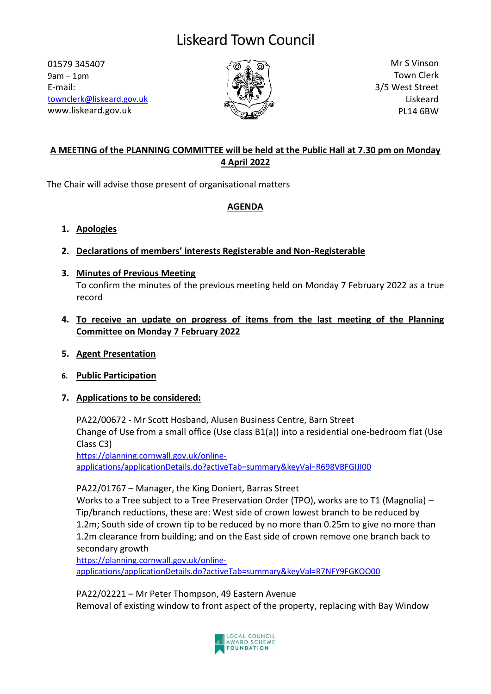# Liskeard Town Council

01579 345407 9am – 1pm E-mail: [townclerk@liskeard.gov.uk](mailto:townclerk@liskeard.gov.uk) www.liskeard.gov.uk



Mr S Vinson Town Clerk 3/5 West Street Liskeard PL14 6BW

# **A MEETING of the PLANNING COMMITTEE will be held at the Public Hall at 7.30 pm on Monday 4 April 2022**

The Chair will advise those present of organisational matters

## **AGENDA**

## **1. Apologies**

**2. Declarations of members' interests Registerable and Non-Registerable** 

#### **3. Minutes of Previous Meeting** To confirm the minutes of the previous meeting held on Monday 7 February 2022 as a true record

## **4. To receive an update on progress of items from the last meeting of the Planning Committee on Monday 7 February 2022**

# **5. Agent Presentation**

# **6. Public Participation**

# **7. Applications to be considered:**

PA22/00672 - Mr Scott Hosband, Alusen Business Centre, Barn Street Change of Use from a small office (Use class B1(a)) into a residential one-bedroom flat (Use Class C3)

[https://planning.cornwall.gov.uk/online](https://planning.cornwall.gov.uk/online-applications/applicationDetails.do?activeTab=summary&keyVal=R698VBFGIJI00)[applications/applicationDetails.do?activeTab=summary&keyVal=R698VBFGIJI00](https://planning.cornwall.gov.uk/online-applications/applicationDetails.do?activeTab=summary&keyVal=R698VBFGIJI00)

PA22/01767 – Manager, the King Doniert, Barras Street

Works to a Tree subject to a Tree Preservation Order (TPO), works are to T1 (Magnolia) – Tip/branch reductions, these are: West side of crown lowest branch to be reduced by 1.2m; South side of crown tip to be reduced by no more than 0.25m to give no more than 1.2m clearance from building; and on the East side of crown remove one branch back to secondary growth

[https://planning.cornwall.gov.uk/online](https://planning.cornwall.gov.uk/online-applications/applicationDetails.do?activeTab=summary&keyVal=R7NFY9FGKOO00)[applications/applicationDetails.do?activeTab=summary&keyVal=R7NFY9FGKOO00](https://planning.cornwall.gov.uk/online-applications/applicationDetails.do?activeTab=summary&keyVal=R7NFY9FGKOO00)

PA22/02221 – Mr Peter Thompson, 49 Eastern Avenue Removal of existing window to front aspect of the property, replacing with Bay Window